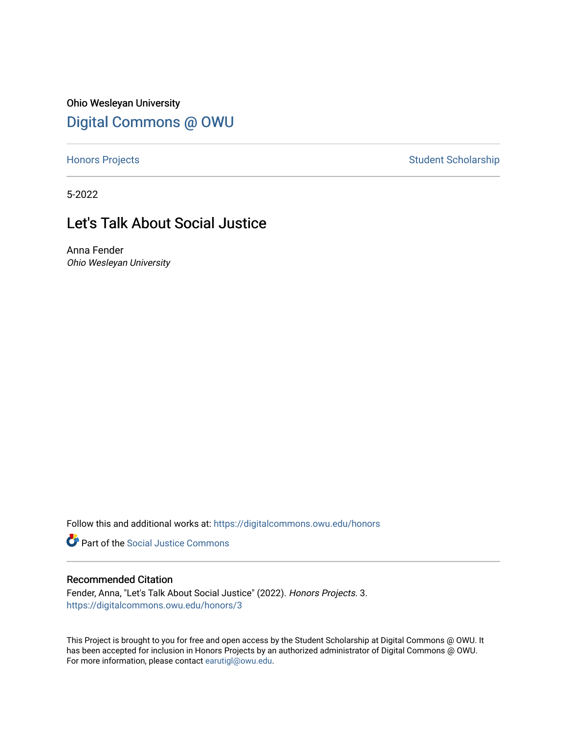Ohio Wesleyan University [Digital Commons @ OWU](https://digitalcommons.owu.edu/) 

[Honors Projects](https://digitalcommons.owu.edu/honors) **Student Scholarship** Student Scholarship

5-2022

# Let's Talk About Social Justice

Anna Fender Ohio Wesleyan University

Follow this and additional works at: [https://digitalcommons.owu.edu/honors](https://digitalcommons.owu.edu/honors?utm_source=digitalcommons.owu.edu%2Fhonors%2F3&utm_medium=PDF&utm_campaign=PDFCoverPages) 

**Part of the Social Justice Commons** 

### Recommended Citation

Fender, Anna, "Let's Talk About Social Justice" (2022). Honors Projects. 3. [https://digitalcommons.owu.edu/honors/3](https://digitalcommons.owu.edu/honors/3?utm_source=digitalcommons.owu.edu%2Fhonors%2F3&utm_medium=PDF&utm_campaign=PDFCoverPages) 

This Project is brought to you for free and open access by the Student Scholarship at Digital Commons @ OWU. It has been accepted for inclusion in Honors Projects by an authorized administrator of Digital Commons @ OWU. For more information, please contact [earutigl@owu.edu.](mailto:earutigl@owu.edu)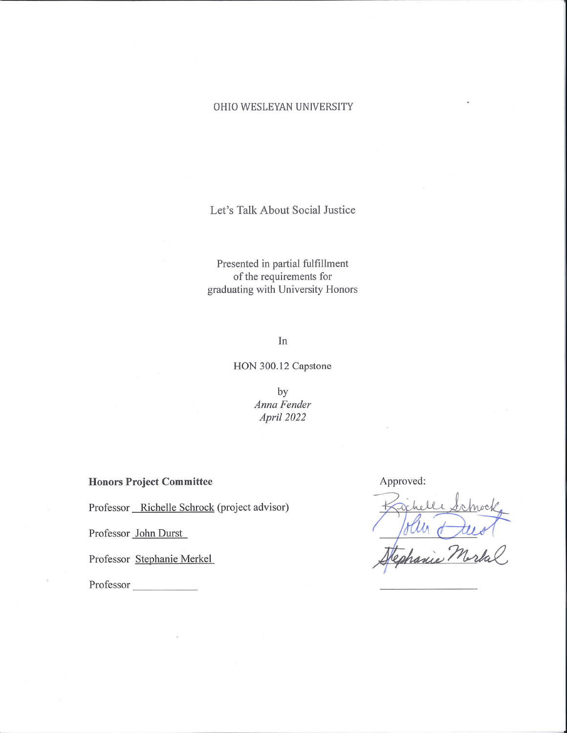## OHIO WESLEYAN UNIVERSITY

Let's Talk About Social Justice

Presented in partial fulfillment of the requirements for graduating with University Honors

In

HON 300.12 Capstone

by Anna Fender April 2022

**Honors Project Committee** 

Professor \_\_ Richelle Schrock (project advisor)

Professor John Durst

Professor Stephanie Merkel

Professor

Approved: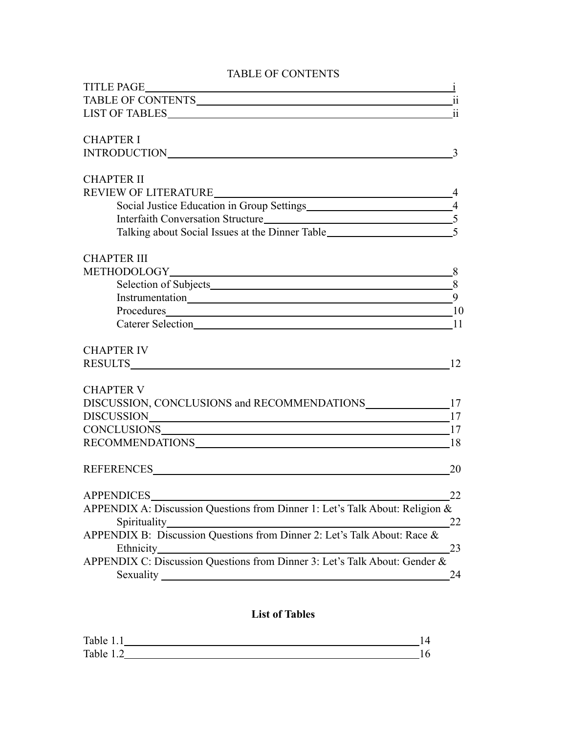## TABLE OF CONTENTS

| TABLE OF CONTENTS ii                                                                       |                            |
|--------------------------------------------------------------------------------------------|----------------------------|
|                                                                                            |                            |
| <b>CHAPTER I</b>                                                                           |                            |
|                                                                                            | $\overline{\phantom{a}}$ 3 |
| <b>CHAPTER II</b>                                                                          |                            |
|                                                                                            |                            |
| Social Justice Education in Group Settings<br>14<br>Interfaith Conversation Structure<br>5 |                            |
|                                                                                            |                            |
|                                                                                            |                            |
| <b>CHAPTER III</b>                                                                         |                            |
|                                                                                            |                            |
|                                                                                            |                            |
|                                                                                            |                            |
|                                                                                            |                            |
|                                                                                            |                            |
| <b>CHAPTER IV</b>                                                                          |                            |
| 12                                                                                         |                            |
| <b>CHAPTER V</b>                                                                           |                            |
| DISCUSSION, CONCLUSIONS and RECOMMENDATIONS 17                                             |                            |
|                                                                                            |                            |
|                                                                                            |                            |
| RECOMMENDATIONS 18                                                                         |                            |
|                                                                                            | 20                         |
| APPENDICES                                                                                 | 22                         |
| APPENDIX A: Discussion Questions from Dinner 1: Let's Talk About: Religion &               |                            |
| Spirituality                                                                               | 22                         |
| APPENDIX B: Discussion Questions from Dinner 2: Let's Talk About: Race &                   |                            |
| Ethnicity_                                                                                 | 23                         |
| APPENDIX C: Discussion Questions from Dinner 3: Let's Talk About: Gender &                 |                            |
| Sexuality                                                                                  | 24                         |

## **List of Tables**

| Table<br>. |  |
|------------|--|
| Table      |  |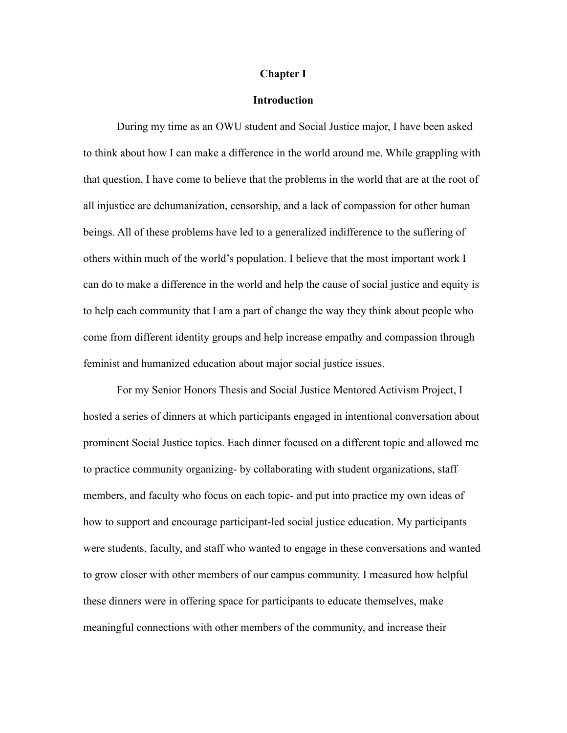#### **Chapter I**

#### **Introduction**

During my time as an OWU student and Social Justice major, I have been asked to think about how I can make a difference in the world around me. While grappling with that question, I have come to believe that the problems in the world that are at the root of all injustice are dehumanization, censorship, and a lack of compassion for other human beings. All of these problems have led to a generalized indifference to the suffering of others within much of the world's population. I believe that the most important work I can do to make a difference in the world and help the cause of social justice and equity is to help each community that I am a part of change the way they think about people who come from different identity groups and help increase empathy and compassion through feminist and humanized education about major social justice issues.

For my Senior Honors Thesis and Social Justice Mentored Activism Project, I hosted a series of dinners at which participants engaged in intentional conversation about prominent Social Justice topics. Each dinner focused on a different topic and allowed me to practice community organizing- by collaborating with student organizations, staff members, and faculty who focus on each topic- and put into practice my own ideas of how to support and encourage participant-led social justice education. My participants were students, faculty, and staff who wanted to engage in these conversations and wanted to grow closer with other members of our campus community. I measured how helpful these dinners were in offering space for participants to educate themselves, make meaningful connections with other members of the community, and increase their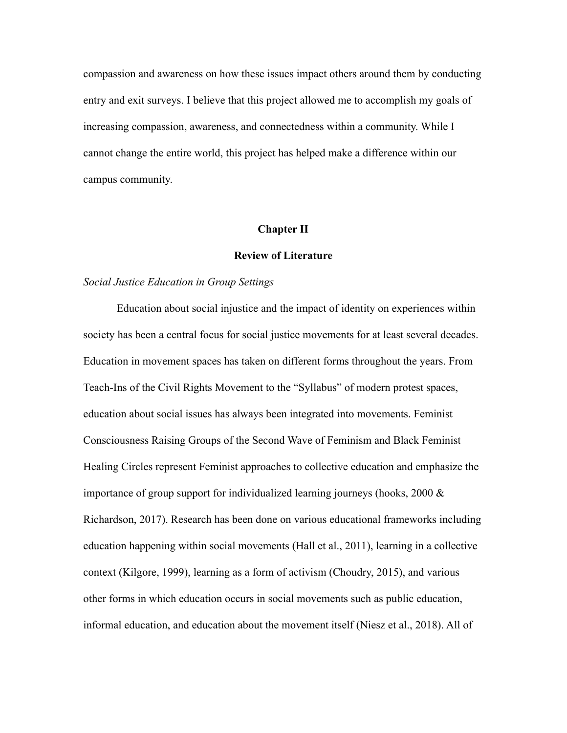compassion and awareness on how these issues impact others around them by conducting entry and exit surveys. I believe that this project allowed me to accomplish my goals of increasing compassion, awareness, and connectedness within a community. While I cannot change the entire world, this project has helped make a difference within our campus community.

#### **Chapter II**

## **Review of Literature**

### *Social Justice Education in Group Settings*

Education about social injustice and the impact of identity on experiences within society has been a central focus for social justice movements for at least several decades. Education in movement spaces has taken on different forms throughout the years. From Teach-Ins of the Civil Rights Movement to the "Syllabus" of modern protest spaces, education about social issues has always been integrated into movements. Feminist Consciousness Raising Groups of the Second Wave of Feminism and Black Feminist Healing Circles represent Feminist approaches to collective education and emphasize the importance of group support for individualized learning journeys (hooks, 2000 & Richardson, 2017). Research has been done on various educational frameworks including education happening within social movements (Hall et al., 2011), learning in a collective context (Kilgore, 1999), learning as a form of activism (Choudry, 2015), and various other forms in which education occurs in social movements such as public education, informal education, and education about the movement itself (Niesz et al., 2018). All of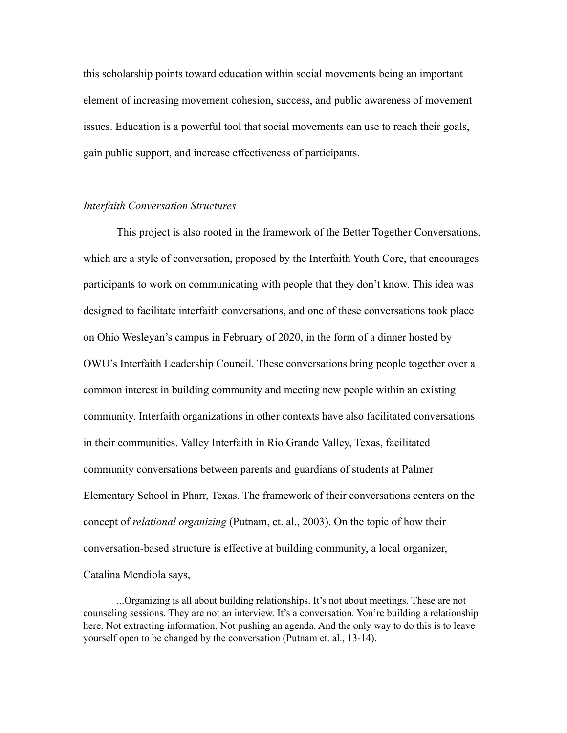this scholarship points toward education within social movements being an important element of increasing movement cohesion, success, and public awareness of movement issues. Education is a powerful tool that social movements can use to reach their goals, gain public support, and increase effectiveness of participants.

### *Interfaith Conversation Structures*

This project is also rooted in the framework of the Better Together Conversations, which are a style of conversation, proposed by the Interfaith Youth Core, that encourages participants to work on communicating with people that they don't know. This idea was designed to facilitate interfaith conversations, and one of these conversations took place on Ohio Wesleyan's campus in February of 2020, in the form of a dinner hosted by OWU's Interfaith Leadership Council. These conversations bring people together over a common interest in building community and meeting new people within an existing community. Interfaith organizations in other contexts have also facilitated conversations in their communities. Valley Interfaith in Rio Grande Valley, Texas, facilitated community conversations between parents and guardians of students at Palmer Elementary School in Pharr, Texas. The framework of their conversations centers on the concept of *relational organizing* (Putnam, et. al., 2003). On the topic of how their conversation-based structure is effective at building community, a local organizer, Catalina Mendiola says,

...Organizing is all about building relationships. It's not about meetings. These are not counseling sessions. They are not an interview. It's a conversation. You're building a relationship here. Not extracting information. Not pushing an agenda. And the only way to do this is to leave yourself open to be changed by the conversation (Putnam et. al., 13-14).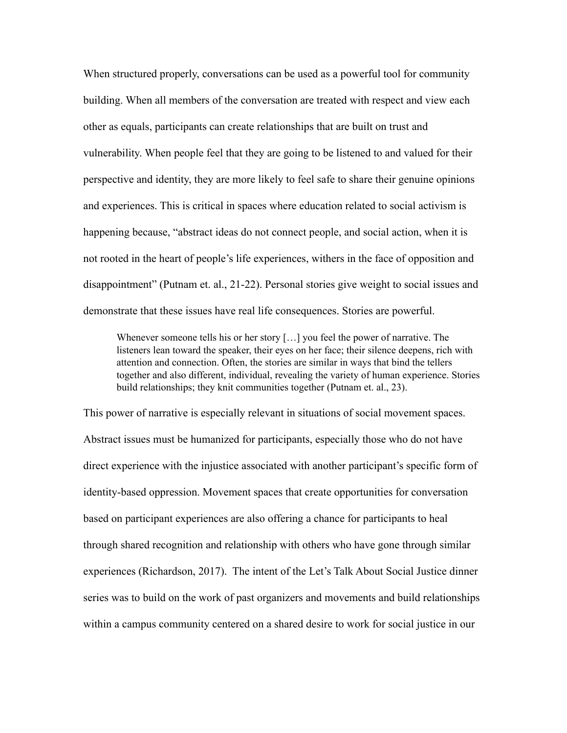When structured properly, conversations can be used as a powerful tool for community building. When all members of the conversation are treated with respect and view each other as equals, participants can create relationships that are built on trust and vulnerability. When people feel that they are going to be listened to and valued for their perspective and identity, they are more likely to feel safe to share their genuine opinions and experiences. This is critical in spaces where education related to social activism is happening because, "abstract ideas do not connect people, and social action, when it is not rooted in the heart of people's life experiences, withers in the face of opposition and disappointment" (Putnam et. al., 21-22). Personal stories give weight to social issues and demonstrate that these issues have real life consequences. Stories are powerful.

Whenever someone tells his or her story […] you feel the power of narrative. The listeners lean toward the speaker, their eyes on her face; their silence deepens, rich with attention and connection. Often, the stories are similar in ways that bind the tellers together and also different, individual, revealing the variety of human experience. Stories build relationships; they knit communities together (Putnam et. al., 23).

This power of narrative is especially relevant in situations of social movement spaces. Abstract issues must be humanized for participants, especially those who do not have direct experience with the injustice associated with another participant's specific form of identity-based oppression. Movement spaces that create opportunities for conversation based on participant experiences are also offering a chance for participants to heal through shared recognition and relationship with others who have gone through similar experiences (Richardson, 2017). The intent of the Let's Talk About Social Justice dinner series was to build on the work of past organizers and movements and build relationships within a campus community centered on a shared desire to work for social justice in our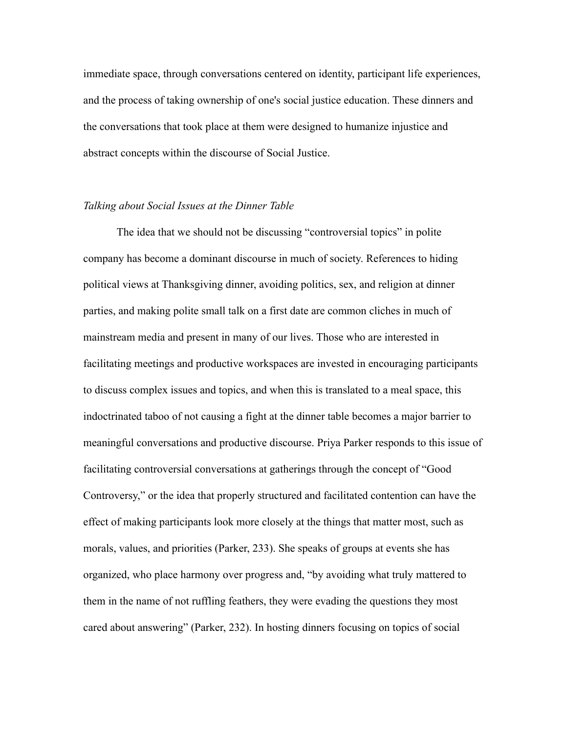immediate space, through conversations centered on identity, participant life experiences, and the process of taking ownership of one's social justice education. These dinners and the conversations that took place at them were designed to humanize injustice and abstract concepts within the discourse of Social Justice.

### *Talking about Social Issues at the Dinner Table*

The idea that we should not be discussing "controversial topics" in polite company has become a dominant discourse in much of society. References to hiding political views at Thanksgiving dinner, avoiding politics, sex, and religion at dinner parties, and making polite small talk on a first date are common cliches in much of mainstream media and present in many of our lives. Those who are interested in facilitating meetings and productive workspaces are invested in encouraging participants to discuss complex issues and topics, and when this is translated to a meal space, this indoctrinated taboo of not causing a fight at the dinner table becomes a major barrier to meaningful conversations and productive discourse. Priya Parker responds to this issue of facilitating controversial conversations at gatherings through the concept of "Good Controversy," or the idea that properly structured and facilitated contention can have the effect of making participants look more closely at the things that matter most, such as morals, values, and priorities (Parker, 233). She speaks of groups at events she has organized, who place harmony over progress and, "by avoiding what truly mattered to them in the name of not ruffling feathers, they were evading the questions they most cared about answering" (Parker, 232). In hosting dinners focusing on topics of social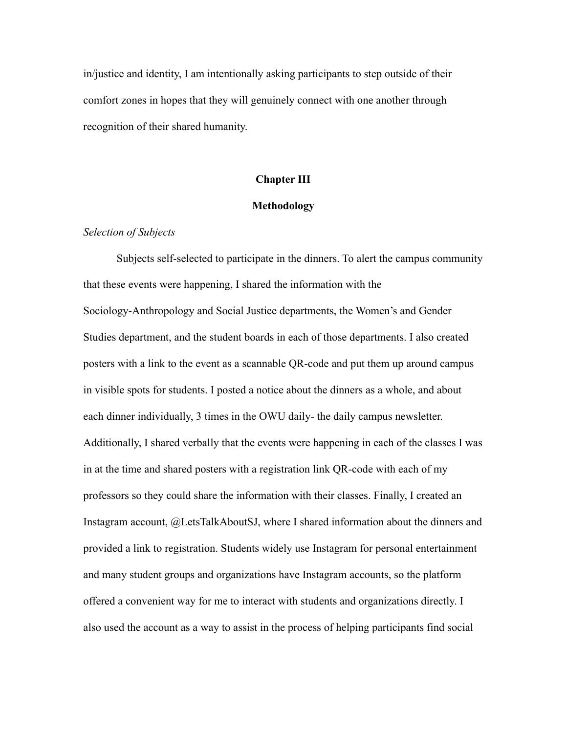in/justice and identity, I am intentionally asking participants to step outside of their comfort zones in hopes that they will genuinely connect with one another through recognition of their shared humanity.

## **Chapter III**

## **Methodology**

## *Selection of Subjects*

Subjects self-selected to participate in the dinners. To alert the campus community that these events were happening, I shared the information with the Sociology-Anthropology and Social Justice departments, the Women's and Gender Studies department, and the student boards in each of those departments. I also created posters with a link to the event as a scannable QR-code and put them up around campus in visible spots for students. I posted a notice about the dinners as a whole, and about each dinner individually, 3 times in the OWU daily- the daily campus newsletter. Additionally, I shared verbally that the events were happening in each of the classes I was in at the time and shared posters with a registration link QR-code with each of my professors so they could share the information with their classes. Finally, I created an Instagram account, @LetsTalkAboutSJ, where I shared information about the dinners and provided a link to registration. Students widely use Instagram for personal entertainment and many student groups and organizations have Instagram accounts, so the platform offered a convenient way for me to interact with students and organizations directly. I also used the account as a way to assist in the process of helping participants find social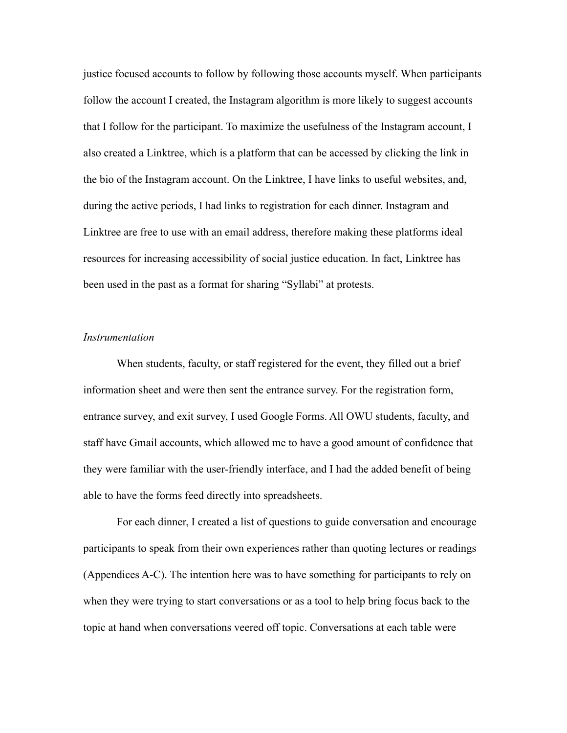justice focused accounts to follow by following those accounts myself. When participants follow the account I created, the Instagram algorithm is more likely to suggest accounts that I follow for the participant. To maximize the usefulness of the Instagram account, I also created a Linktree, which is a platform that can be accessed by clicking the link in the bio of the Instagram account. On the Linktree, I have links to useful websites, and, during the active periods, I had links to registration for each dinner. Instagram and Linktree are free to use with an email address, therefore making these platforms ideal resources for increasing accessibility of social justice education. In fact, Linktree has been used in the past as a format for sharing "Syllabi" at protests.

### *Instrumentation*

When students, faculty, or staff registered for the event, they filled out a brief information sheet and were then sent the entrance survey. For the registration form, entrance survey, and exit survey, I used Google Forms. All OWU students, faculty, and staff have Gmail accounts, which allowed me to have a good amount of confidence that they were familiar with the user-friendly interface, and I had the added benefit of being able to have the forms feed directly into spreadsheets.

For each dinner, I created a list of questions to guide conversation and encourage participants to speak from their own experiences rather than quoting lectures or readings (Appendices A-C). The intention here was to have something for participants to rely on when they were trying to start conversations or as a tool to help bring focus back to the topic at hand when conversations veered off topic. Conversations at each table were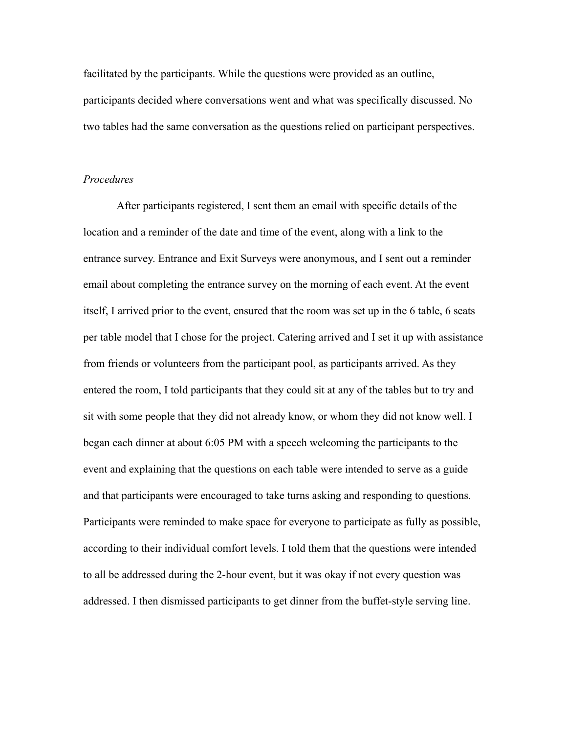facilitated by the participants. While the questions were provided as an outline, participants decided where conversations went and what was specifically discussed. No two tables had the same conversation as the questions relied on participant perspectives.

## *Procedures*

After participants registered, I sent them an email with specific details of the location and a reminder of the date and time of the event, along with a link to the entrance survey. Entrance and Exit Surveys were anonymous, and I sent out a reminder email about completing the entrance survey on the morning of each event. At the event itself, I arrived prior to the event, ensured that the room was set up in the 6 table, 6 seats per table model that I chose for the project. Catering arrived and I set it up with assistance from friends or volunteers from the participant pool, as participants arrived. As they entered the room, I told participants that they could sit at any of the tables but to try and sit with some people that they did not already know, or whom they did not know well. I began each dinner at about 6:05 PM with a speech welcoming the participants to the event and explaining that the questions on each table were intended to serve as a guide and that participants were encouraged to take turns asking and responding to questions. Participants were reminded to make space for everyone to participate as fully as possible, according to their individual comfort levels. I told them that the questions were intended to all be addressed during the 2-hour event, but it was okay if not every question was addressed. I then dismissed participants to get dinner from the buffet-style serving line.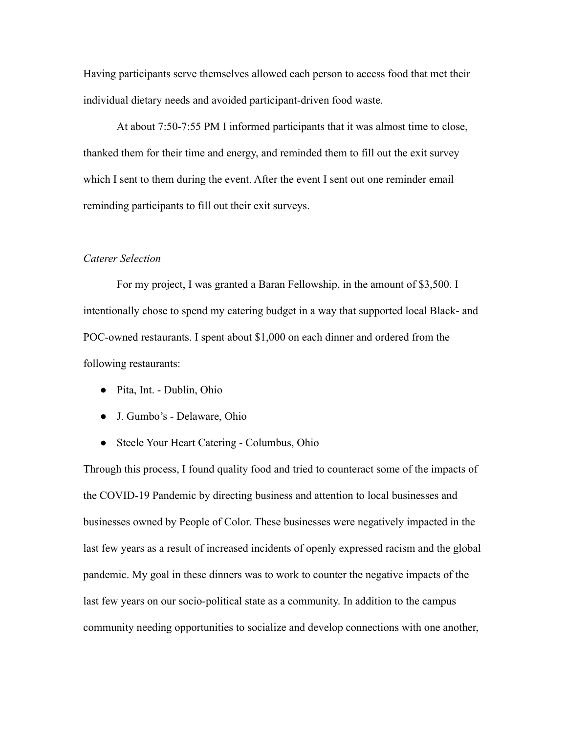Having participants serve themselves allowed each person to access food that met their individual dietary needs and avoided participant-driven food waste.

At about 7:50-7:55 PM I informed participants that it was almost time to close, thanked them for their time and energy, and reminded them to fill out the exit survey which I sent to them during the event. After the event I sent out one reminder email reminding participants to fill out their exit surveys.

## *Caterer Selection*

For my project, I was granted a Baran Fellowship, in the amount of \$3,500. I intentionally chose to spend my catering budget in a way that supported local Black- and POC-owned restaurants. I spent about \$1,000 on each dinner and ordered from the following restaurants:

- Pita, Int. Dublin, Ohio
- J. Gumbo's Delaware, Ohio
- Steele Your Heart Catering Columbus, Ohio

Through this process, I found quality food and tried to counteract some of the impacts of the COVID-19 Pandemic by directing business and attention to local businesses and businesses owned by People of Color. These businesses were negatively impacted in the last few years as a result of increased incidents of openly expressed racism and the global pandemic. My goal in these dinners was to work to counter the negative impacts of the last few years on our socio-political state as a community. In addition to the campus community needing opportunities to socialize and develop connections with one another,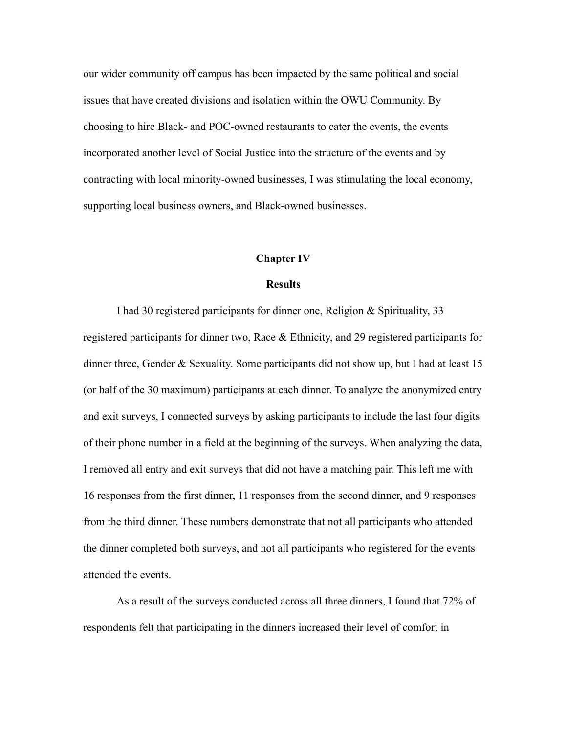our wider community off campus has been impacted by the same political and social issues that have created divisions and isolation within the OWU Community. By choosing to hire Black- and POC-owned restaurants to cater the events, the events incorporated another level of Social Justice into the structure of the events and by contracting with local minority-owned businesses, I was stimulating the local economy, supporting local business owners, and Black-owned businesses.

#### **Chapter IV**

### **Results**

I had 30 registered participants for dinner one, Religion & Spirituality, 33 registered participants for dinner two, Race  $\&$  Ethnicity, and 29 registered participants for dinner three, Gender & Sexuality. Some participants did not show up, but I had at least 15 (or half of the 30 maximum) participants at each dinner. To analyze the anonymized entry and exit surveys, I connected surveys by asking participants to include the last four digits of their phone number in a field at the beginning of the surveys. When analyzing the data, I removed all entry and exit surveys that did not have a matching pair. This left me with 16 responses from the first dinner, 11 responses from the second dinner, and 9 responses from the third dinner. These numbers demonstrate that not all participants who attended the dinner completed both surveys, and not all participants who registered for the events attended the events.

As a result of the surveys conducted across all three dinners, I found that 72% of respondents felt that participating in the dinners increased their level of comfort in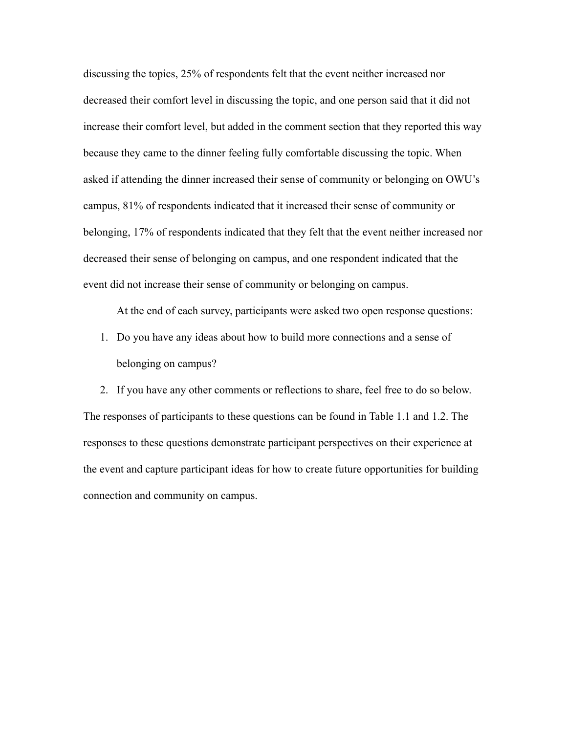discussing the topics, 25% of respondents felt that the event neither increased nor decreased their comfort level in discussing the topic, and one person said that it did not increase their comfort level, but added in the comment section that they reported this way because they came to the dinner feeling fully comfortable discussing the topic. When asked if attending the dinner increased their sense of community or belonging on OWU's campus, 81% of respondents indicated that it increased their sense of community or belonging, 17% of respondents indicated that they felt that the event neither increased nor decreased their sense of belonging on campus, and one respondent indicated that the event did not increase their sense of community or belonging on campus.

At the end of each survey, participants were asked two open response questions:

1. Do you have any ideas about how to build more connections and a sense of belonging on campus?

2. If you have any other comments or reflections to share, feel free to do so below. The responses of participants to these questions can be found in Table 1.1 and 1.2. The responses to these questions demonstrate participant perspectives on their experience at the event and capture participant ideas for how to create future opportunities for building connection and community on campus.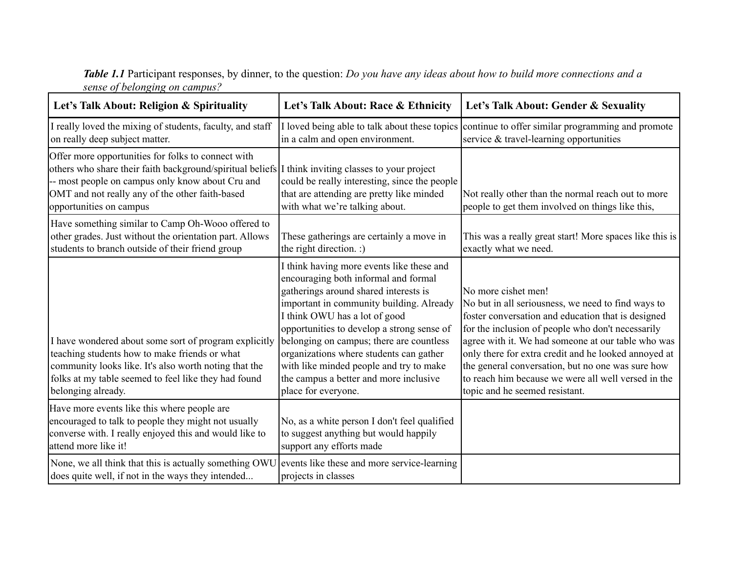| <b>Table 1.1</b> Participant responses, by dinner, to the question: Do you have any ideas about how to build more connections and a |
|-------------------------------------------------------------------------------------------------------------------------------------|
| sense of belonging on campus?                                                                                                       |

| Let's Talk About: Religion & Spirituality                                                                                                                                                                                                                                                  | Let's Talk About: Race & Ethnicity                                                                                                                                                                                                                                                                                                                                                                                                                       | Let's Talk About: Gender & Sexuality                                                                                                                                                                                                                                                                                                                                                                                                             |
|--------------------------------------------------------------------------------------------------------------------------------------------------------------------------------------------------------------------------------------------------------------------------------------------|----------------------------------------------------------------------------------------------------------------------------------------------------------------------------------------------------------------------------------------------------------------------------------------------------------------------------------------------------------------------------------------------------------------------------------------------------------|--------------------------------------------------------------------------------------------------------------------------------------------------------------------------------------------------------------------------------------------------------------------------------------------------------------------------------------------------------------------------------------------------------------------------------------------------|
| I really loved the mixing of students, faculty, and staff<br>on really deep subject matter.                                                                                                                                                                                                | in a calm and open environment.                                                                                                                                                                                                                                                                                                                                                                                                                          | I loved being able to talk about these topics continue to offer similar programming and promote<br>service & travel-learning opportunities                                                                                                                                                                                                                                                                                                       |
| Offer more opportunities for folks to connect with<br>others who share their faith background/spiritual beliefs I think inviting classes to your project<br>-- most people on campus only know about Cru and<br>OMT and not really any of the other faith-based<br>opportunities on campus | could be really interesting, since the people<br>that are attending are pretty like minded<br>with what we're talking about.                                                                                                                                                                                                                                                                                                                             | Not really other than the normal reach out to more<br>people to get them involved on things like this,                                                                                                                                                                                                                                                                                                                                           |
| Have something similar to Camp Oh-Wooo offered to<br>other grades. Just without the orientation part. Allows<br>students to branch outside of their friend group                                                                                                                           | These gatherings are certainly a move in<br>the right direction. :)                                                                                                                                                                                                                                                                                                                                                                                      | This was a really great start! More spaces like this is<br>exactly what we need.                                                                                                                                                                                                                                                                                                                                                                 |
| I have wondered about some sort of program explicitly<br>teaching students how to make friends or what<br>community looks like. It's also worth noting that the<br>folks at my table seemed to feel like they had found<br>belonging already.                                              | I think having more events like these and<br>encouraging both informal and formal<br>gatherings around shared interests is<br>important in community building. Already<br>I think OWU has a lot of good<br>opportunities to develop a strong sense of<br>belonging on campus; there are countless<br>organizations where students can gather<br>with like minded people and try to make<br>the campus a better and more inclusive<br>place for everyone. | No more cishet men!<br>No but in all seriousness, we need to find ways to<br>foster conversation and education that is designed<br>for the inclusion of people who don't necessarily<br>agree with it. We had someone at our table who was<br>only there for extra credit and he looked annoyed at<br>the general conversation, but no one was sure how<br>to reach him because we were all well versed in the<br>topic and he seemed resistant. |
| Have more events like this where people are<br>encouraged to talk to people they might not usually<br>converse with. I really enjoyed this and would like to<br>lattend more like it!                                                                                                      | No, as a white person I don't feel qualified<br>to suggest anything but would happily<br>support any efforts made                                                                                                                                                                                                                                                                                                                                        |                                                                                                                                                                                                                                                                                                                                                                                                                                                  |
| None, we all think that this is actually something OWU events like these and more service-learning<br>does quite well, if not in the ways they intended                                                                                                                                    | projects in classes                                                                                                                                                                                                                                                                                                                                                                                                                                      |                                                                                                                                                                                                                                                                                                                                                                                                                                                  |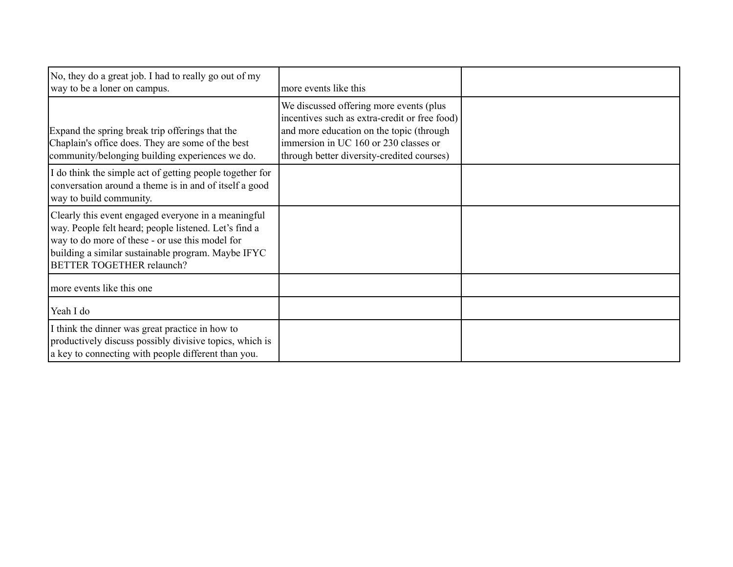| No, they do a great job. I had to really go out of my<br>way to be a loner on campus.                                                                                                                                                                     | more events like this                                                                                                                                                                                                        |  |
|-----------------------------------------------------------------------------------------------------------------------------------------------------------------------------------------------------------------------------------------------------------|------------------------------------------------------------------------------------------------------------------------------------------------------------------------------------------------------------------------------|--|
| Expand the spring break trip offerings that the<br>Chaplain's office does. They are some of the best<br>community/belonging building experiences we do.                                                                                                   | We discussed offering more events (plus)<br>incentives such as extra-credit or free food)<br>and more education on the topic (through<br>immersion in UC 160 or 230 classes or<br>through better diversity-credited courses) |  |
| I do think the simple act of getting people together for<br>conversation around a theme is in and of itself a good<br>way to build community.                                                                                                             |                                                                                                                                                                                                                              |  |
| Clearly this event engaged everyone in a meaningful<br>way. People felt heard; people listened. Let's find a<br>way to do more of these - or use this model for<br>building a similar sustainable program. Maybe IFYC<br><b>BETTER TOGETHER relaunch?</b> |                                                                                                                                                                                                                              |  |
| more events like this one                                                                                                                                                                                                                                 |                                                                                                                                                                                                                              |  |
| Yeah I do                                                                                                                                                                                                                                                 |                                                                                                                                                                                                                              |  |
| I think the dinner was great practice in how to<br>productively discuss possibly divisive topics, which is<br>a key to connecting with people different than you.                                                                                         |                                                                                                                                                                                                                              |  |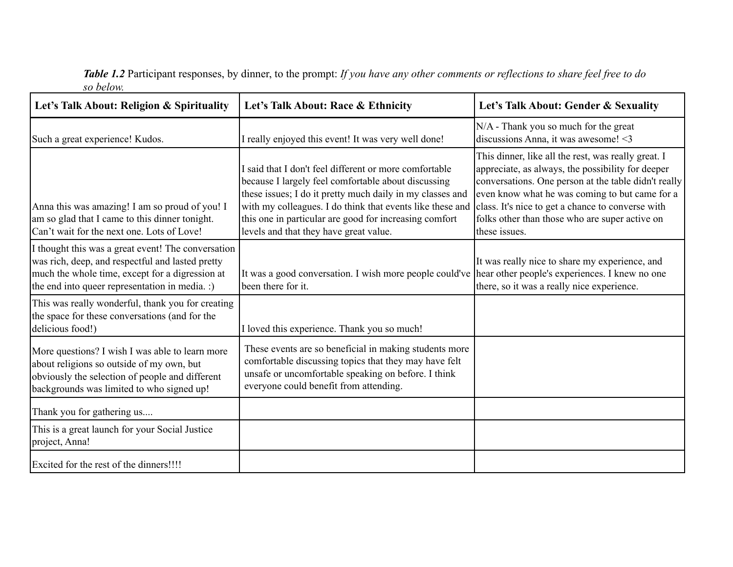*Table 1.2* Participant responses, by dinner, to the prompt: *If you have any other comments or reflections to share feel free to do so below.*

| Let's Talk About: Religion & Spirituality                                                                                                                                                                   | Let's Talk About: Race & Ethnicity                                                                                                                                                                                                                                                                                                          | Let's Talk About: Gender & Sexuality                                                                                                                                                                                                                                                                                                       |
|-------------------------------------------------------------------------------------------------------------------------------------------------------------------------------------------------------------|---------------------------------------------------------------------------------------------------------------------------------------------------------------------------------------------------------------------------------------------------------------------------------------------------------------------------------------------|--------------------------------------------------------------------------------------------------------------------------------------------------------------------------------------------------------------------------------------------------------------------------------------------------------------------------------------------|
| Such a great experience! Kudos.                                                                                                                                                                             | I really enjoyed this event! It was very well done!                                                                                                                                                                                                                                                                                         | N/A - Thank you so much for the great<br>discussions Anna, it was awesome! <3                                                                                                                                                                                                                                                              |
| Anna this was amazing! I am so proud of you! I<br>am so glad that I came to this dinner tonight.<br>Can't wait for the next one. Lots of Love!                                                              | I said that I don't feel different or more comfortable<br>because I largely feel comfortable about discussing<br>these issues; I do it pretty much daily in my classes and<br>with my colleagues. I do think that events like these and<br>this one in particular are good for increasing comfort<br>levels and that they have great value. | This dinner, like all the rest, was really great. I<br>appreciate, as always, the possibility for deeper<br>conversations. One person at the table didn't really<br>even know what he was coming to but came for a<br>class. It's nice to get a chance to converse with<br>folks other than those who are super active on<br>these issues. |
| I thought this was a great event! The conversation<br>was rich, deep, and respectful and lasted pretty<br>much the whole time, except for a digression at<br>the end into queer representation in media. :) | It was a good conversation. I wish more people could've hear other people's experiences. I knew no one<br>been there for it.                                                                                                                                                                                                                | It was really nice to share my experience, and<br>there, so it was a really nice experience.                                                                                                                                                                                                                                               |
| This was really wonderful, thank you for creating<br>the space for these conversations (and for the<br>delicious food!)                                                                                     | I loved this experience. Thank you so much!                                                                                                                                                                                                                                                                                                 |                                                                                                                                                                                                                                                                                                                                            |
| More questions? I wish I was able to learn more<br>about religions so outside of my own, but<br>obviously the selection of people and different<br>backgrounds was limited to who signed up!                | These events are so beneficial in making students more<br>comfortable discussing topics that they may have felt<br>unsafe or uncomfortable speaking on before. I think<br>everyone could benefit from attending.                                                                                                                            |                                                                                                                                                                                                                                                                                                                                            |
| Thank you for gathering us                                                                                                                                                                                  |                                                                                                                                                                                                                                                                                                                                             |                                                                                                                                                                                                                                                                                                                                            |
| This is a great launch for your Social Justice<br>project, Anna!                                                                                                                                            |                                                                                                                                                                                                                                                                                                                                             |                                                                                                                                                                                                                                                                                                                                            |
| Excited for the rest of the dinners!!!!                                                                                                                                                                     |                                                                                                                                                                                                                                                                                                                                             |                                                                                                                                                                                                                                                                                                                                            |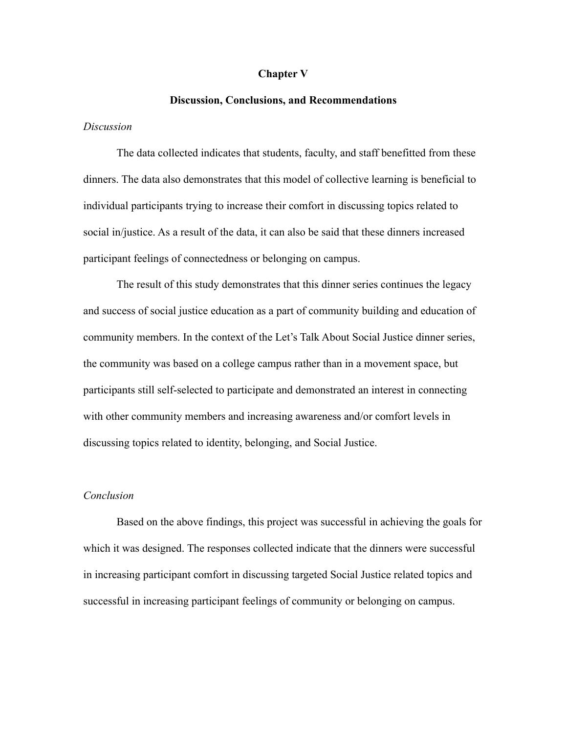#### **Chapter V**

#### **Discussion, Conclusions, and Recommendations**

#### *Discussion*

The data collected indicates that students, faculty, and staff benefitted from these dinners. The data also demonstrates that this model of collective learning is beneficial to individual participants trying to increase their comfort in discussing topics related to social in/justice. As a result of the data, it can also be said that these dinners increased participant feelings of connectedness or belonging on campus.

The result of this study demonstrates that this dinner series continues the legacy and success of social justice education as a part of community building and education of community members. In the context of the Let's Talk About Social Justice dinner series, the community was based on a college campus rather than in a movement space, but participants still self-selected to participate and demonstrated an interest in connecting with other community members and increasing awareness and/or comfort levels in discussing topics related to identity, belonging, and Social Justice.

## *Conclusion*

Based on the above findings, this project was successful in achieving the goals for which it was designed. The responses collected indicate that the dinners were successful in increasing participant comfort in discussing targeted Social Justice related topics and successful in increasing participant feelings of community or belonging on campus.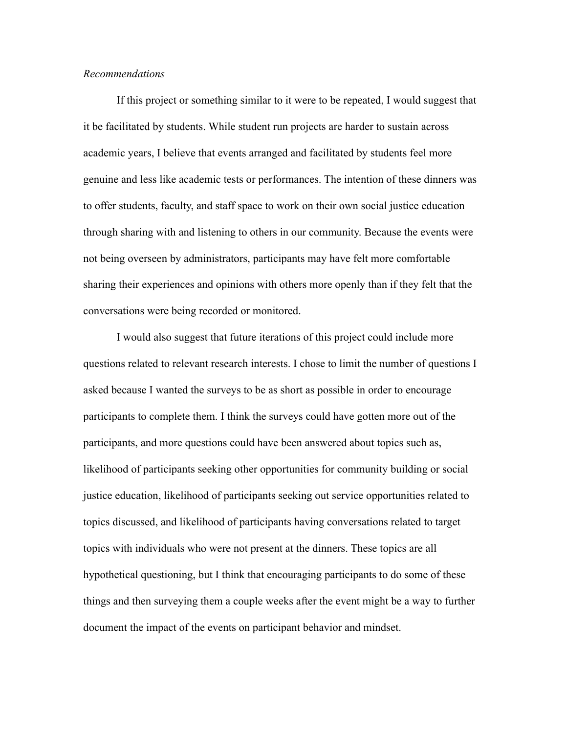## *Recommendations*

If this project or something similar to it were to be repeated, I would suggest that it be facilitated by students. While student run projects are harder to sustain across academic years, I believe that events arranged and facilitated by students feel more genuine and less like academic tests or performances. The intention of these dinners was to offer students, faculty, and staff space to work on their own social justice education through sharing with and listening to others in our community. Because the events were not being overseen by administrators, participants may have felt more comfortable sharing their experiences and opinions with others more openly than if they felt that the conversations were being recorded or monitored.

I would also suggest that future iterations of this project could include more questions related to relevant research interests. I chose to limit the number of questions I asked because I wanted the surveys to be as short as possible in order to encourage participants to complete them. I think the surveys could have gotten more out of the participants, and more questions could have been answered about topics such as, likelihood of participants seeking other opportunities for community building or social justice education, likelihood of participants seeking out service opportunities related to topics discussed, and likelihood of participants having conversations related to target topics with individuals who were not present at the dinners. These topics are all hypothetical questioning, but I think that encouraging participants to do some of these things and then surveying them a couple weeks after the event might be a way to further document the impact of the events on participant behavior and mindset.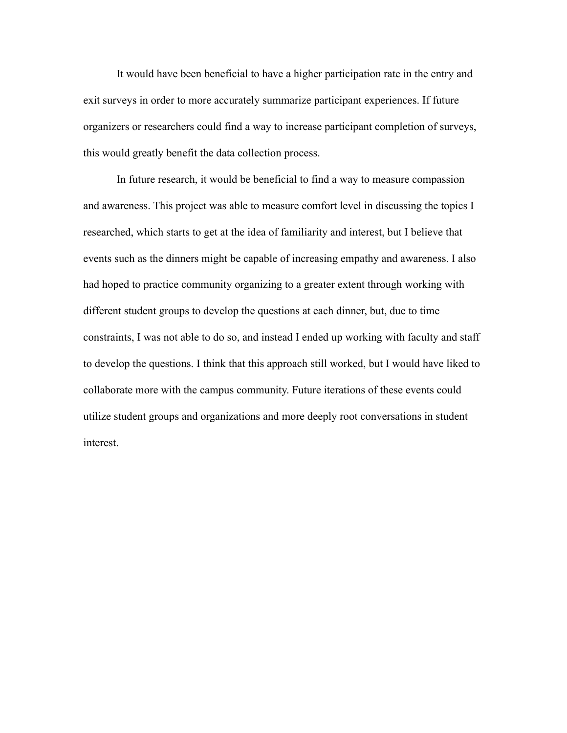It would have been beneficial to have a higher participation rate in the entry and exit surveys in order to more accurately summarize participant experiences. If future organizers or researchers could find a way to increase participant completion of surveys, this would greatly benefit the data collection process.

In future research, it would be beneficial to find a way to measure compassion and awareness. This project was able to measure comfort level in discussing the topics I researched, which starts to get at the idea of familiarity and interest, but I believe that events such as the dinners might be capable of increasing empathy and awareness. I also had hoped to practice community organizing to a greater extent through working with different student groups to develop the questions at each dinner, but, due to time constraints, I was not able to do so, and instead I ended up working with faculty and staff to develop the questions. I think that this approach still worked, but I would have liked to collaborate more with the campus community. Future iterations of these events could utilize student groups and organizations and more deeply root conversations in student interest.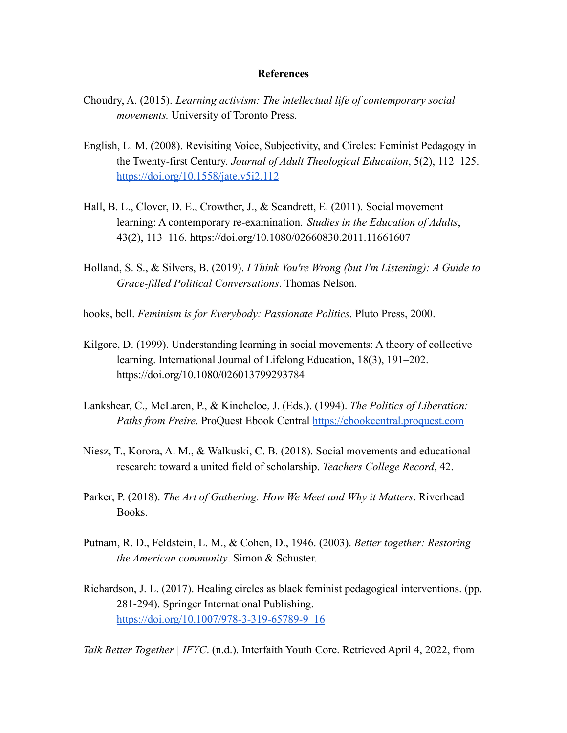#### **References**

- Choudry, A. (2015). *Learning activism: The intellectual life of contemporary social movements.* University of Toronto Press.
- English, L. M. (2008). Revisiting Voice, Subjectivity, and Circles: Feminist Pedagogy in the Twenty-first Century. *Journal of Adult Theological Education*, 5(2), 112–125. <https://doi.org/10.1558/jate.v5i2.112>
- Hall, B. L., Clover, D. E., Crowther, J., & Scandrett, E. (2011). Social movement learning: A contemporary re-examination. *Studies in the Education of Adults*, 43(2), 113–116. https://doi.org/10.1080/02660830.2011.11661607
- Holland, S. S., & Silvers, B. (2019). *I Think You're Wrong (but I'm Listening): A Guide to Grace-filled Political Conversations*. Thomas Nelson.
- hooks, bell. *Feminism is for Everybody: Passionate Politics*. Pluto Press, 2000.
- Kilgore, D. (1999). Understanding learning in social movements: A theory of collective learning. International Journal of Lifelong Education, 18(3), 191–202. https://doi.org/10.1080/026013799293784
- Lankshear, C., McLaren, P., & Kincheloe, J. (Eds.). (1994). *The Politics of Liberation: Paths from Freire*. ProQuest Ebook Central <https://ebookcentral.proquest.com>
- Niesz, T., Korora, A. M., & Walkuski, C. B. (2018). Social movements and educational research: toward a united field of scholarship. *Teachers College Record*, 42.
- Parker, P. (2018). *The Art of Gathering: How We Meet and Why it Matters*. Riverhead Books.
- Putnam, R. D., Feldstein, L. M., & Cohen, D., 1946. (2003). *Better together: Restoring the American community*. Simon & Schuster.
- Richardson, J. L. (2017). Healing circles as black feminist pedagogical interventions. (pp. 281-294). Springer International Publishing. [https://doi.org/10.1007/978-3-319-65789-9\\_16](https://doi.org/10.1007/978-3-319-65789-9_16)

*Talk Better Together | IFYC*. (n.d.). Interfaith Youth Core. Retrieved April 4, 2022, from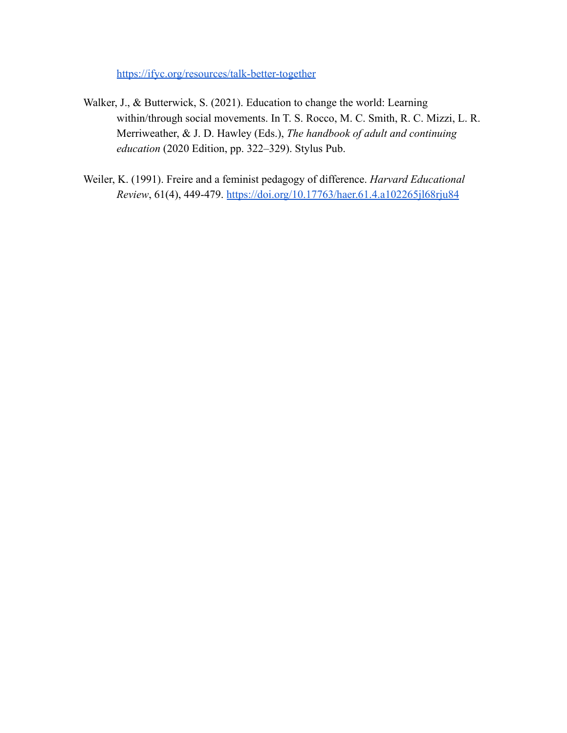<https://ifyc.org/resources/talk-better-together>

- Walker, J., & Butterwick, S. (2021). Education to change the world: Learning within/through social movements. In T. S. Rocco, M. C. Smith, R. C. Mizzi, L. R. Merriweather, & J. D. Hawley (Eds.), *The handbook of adult and continuing education* (2020 Edition, pp. 322–329). Stylus Pub.
- Weiler, K. (1991). Freire and a feminist pedagogy of difference. *Harvard Educational Review*, 61(4), 449-479. <https://doi.org/10.17763/haer.61.4.a102265jl68rju84>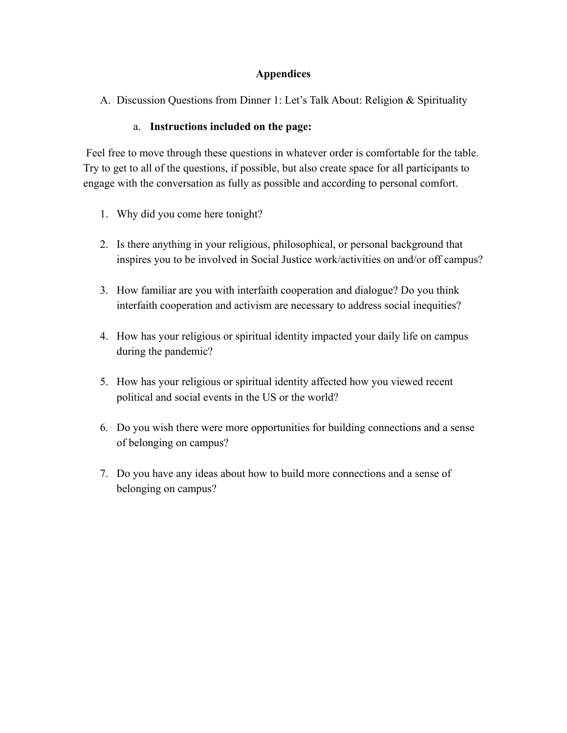## **Appendices**

A. Discussion Questions from Dinner 1: Let's Talk About: Religion & Spirituality

## a. **Instructions included on the page:**

Feel free to move through these questions in whatever order is comfortable for the table. Try to get to all of the questions, if possible, but also create space for all participants to engage with the conversation as fully as possible and according to personal comfort.

- 1. Why did you come here tonight?
- 2. Is there anything in your religious, philosophical, or personal background that inspires you to be involved in Social Justice work/activities on and/or off campus?
- 3. How familiar are you with interfaith cooperation and dialogue? Do you think interfaith cooperation and activism are necessary to address social inequities?
- 4. How has your religious or spiritual identity impacted your daily life on campus during the pandemic?
- 5. How has your religious or spiritual identity affected how you viewed recent political and social events in the US or the world?
- 6. Do you wish there were more opportunities for building connections and a sense of belonging on campus?
- 7. Do you have any ideas about how to build more connections and a sense of belonging on campus?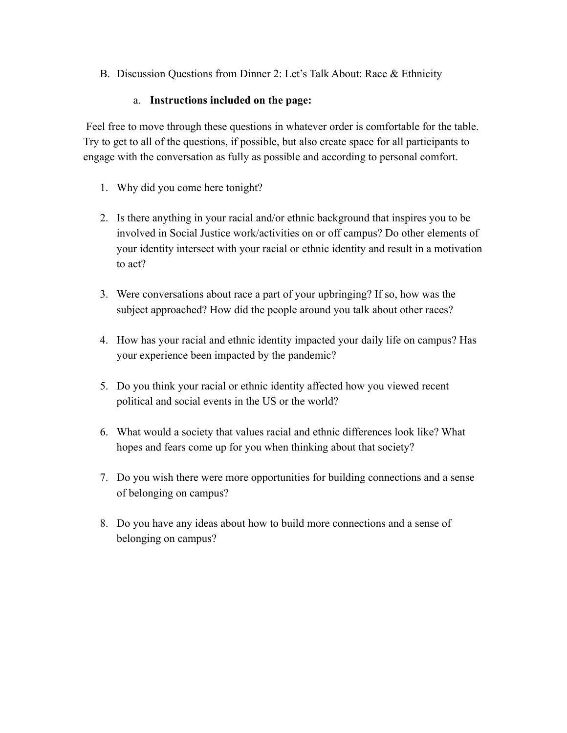B. Discussion Questions from Dinner 2: Let's Talk About: Race & Ethnicity

## a. **Instructions included on the page:**

Feel free to move through these questions in whatever order is comfortable for the table. Try to get to all of the questions, if possible, but also create space for all participants to engage with the conversation as fully as possible and according to personal comfort.

- 1. Why did you come here tonight?
- 2. Is there anything in your racial and/or ethnic background that inspires you to be involved in Social Justice work/activities on or off campus? Do other elements of your identity intersect with your racial or ethnic identity and result in a motivation to act?
- 3. Were conversations about race a part of your upbringing? If so, how was the subject approached? How did the people around you talk about other races?
- 4. How has your racial and ethnic identity impacted your daily life on campus? Has your experience been impacted by the pandemic?
- 5. Do you think your racial or ethnic identity affected how you viewed recent political and social events in the US or the world?
- 6. What would a society that values racial and ethnic differences look like? What hopes and fears come up for you when thinking about that society?
- 7. Do you wish there were more opportunities for building connections and a sense of belonging on campus?
- 8. Do you have any ideas about how to build more connections and a sense of belonging on campus?